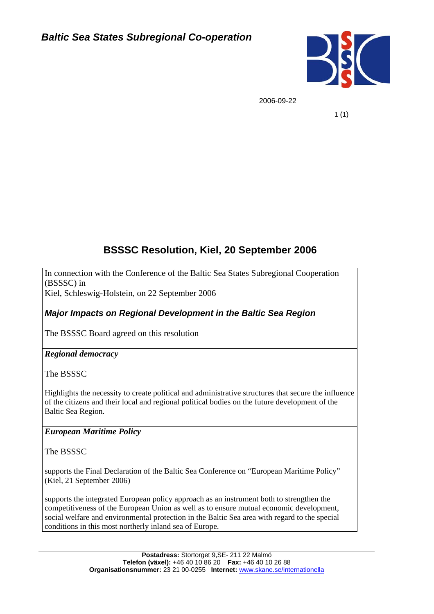

2006-09-22

1 (1)

# **BSSSC Resolution, Kiel, 20 September 2006**

In connection with the Conference of the Baltic Sea States Subregional Cooperation (BSSSC) in

Kiel, Schleswig-Holstein, on 22 September 2006

*Major Impacts on Regional Development in the Baltic Sea Region* 

The BSSSC Board agreed on this resolution

# *Regional democracy*

The BSSSC

Highlights the necessity to create political and administrative structures that secure the influence of the citizens and their local and regional political bodies on the future development of the Baltic Sea Region.

# *European Maritime Policy*

The BSSSC

supports the Final Declaration of the Baltic Sea Conference on "European Maritime Policy" (Kiel, 21 September 2006)

supports the integrated European policy approach as an instrument both to strengthen the competitiveness of the European Union as well as to ensure mutual economic development, social welfare and environmental protection in the Baltic Sea area with regard to the special conditions in this most northerly inland sea of Europe.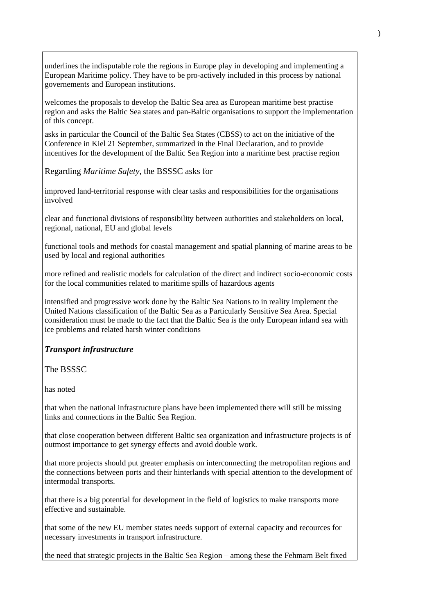underlines the indisputable role the regions in Europe play in developing and implementing a European Maritime policy. They have to be pro-actively included in this process by national governements and European institutions.

welcomes the proposals to develop the Baltic Sea area as European maritime best practise region and asks the Baltic Sea states and pan-Baltic organisations to support the implementation of this concept.

asks in particular the Council of the Baltic Sea States (CBSS) to act on the initiative of the Conference in Kiel 21 September, summarized in the Final Declaration, and to provide incentives for the development of the Baltic Sea Region into a maritime best practise region

Regarding *Maritime Safety*, the BSSSC asks for

improved land-territorial response with clear tasks and responsibilities for the organisations involved

clear and functional divisions of responsibility between authorities and stakeholders on local, regional, national, EU and global levels

functional tools and methods for coastal management and spatial planning of marine areas to be used by local and regional authorities

more refined and realistic models for calculation of the direct and indirect socio-economic costs for the local communities related to maritime spills of hazardous agents

intensified and progressive work done by the Baltic Sea Nations to in reality implement the United Nations classification of the Baltic Sea as a Particularly Sensitive Sea Area. Special consideration must be made to the fact that the Baltic Sea is the only European inland sea with ice problems and related harsh winter conditions

#### *Transport infrastructure*

The BSSSC

has noted

that when the national infrastructure plans have been implemented there will still be missing links and connections in the Baltic Sea Region.

that close cooperation between different Baltic sea organization and infrastructure projects is of outmost importance to get synergy effects and avoid double work.

that more projects should put greater emphasis on interconnecting the metropolitan regions and the connections between ports and their hinterlands with special attention to the development of intermodal transports.

that there is a big potential for development in the field of logistics to make transports more effective and sustainable.

that some of the new EU member states needs support of external capacity and recources for necessary investments in transport infrastructure.

the need that strategic projects in the Baltic Sea Region – among these the Fehmarn Belt fixed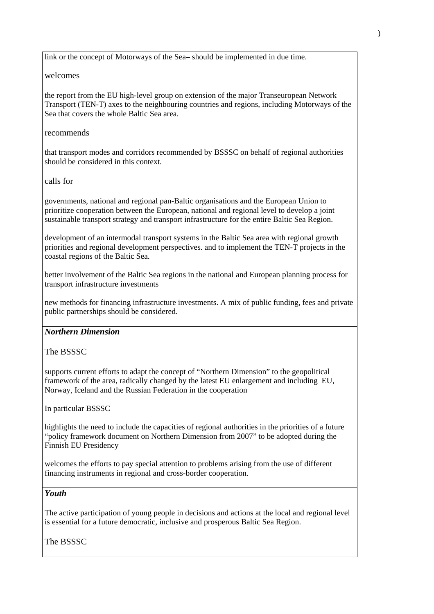link or the concept of Motorways of the Sea– should be implemented in due time.

#### welcomes

the report from the EU high-level group on extension of the major Transeuropean Network Transport (TEN-T) axes to the neighbouring countries and regions, including Motorways of the Sea that covers the whole Baltic Sea area.

#### recommends

that transport modes and corridors recommended by BSSSC on behalf of regional authorities should be considered in this context.

#### calls for

governments, national and regional pan-Baltic organisations and the European Union to prioritize cooperation between the European, national and regional level to develop a joint sustainable transport strategy and transport infrastructure for the entire Baltic Sea Region.

development of an intermodal transport systems in the Baltic Sea area with regional growth priorities and regional development perspectives. and to implement the TEN-T projects in the coastal regions of the Baltic Sea.

better involvement of the Baltic Sea regions in the national and European planning process for transport infrastructure investments

new methods for financing infrastructure investments. A mix of public funding, fees and private public partnerships should be considered.

#### *Northern Dimension*

The BSSSC

supports current efforts to adapt the concept of "Northern Dimension" to the geopolitical framework of the area, radically changed by the latest EU enlargement and including EU, Norway, Iceland and the Russian Federation in the cooperation

In particular BSSSC

highlights the need to include the capacities of regional authorities in the priorities of a future "policy framework document on Northern Dimension from 2007" to be adopted during the Finnish EU Presidency

welcomes the efforts to pay special attention to problems arising from the use of different financing instruments in regional and cross-border cooperation.

#### *Youth*

The active participation of young people in decisions and actions at the local and regional level is essential for a future democratic, inclusive and prosperous Baltic Sea Region.

The BSSSC